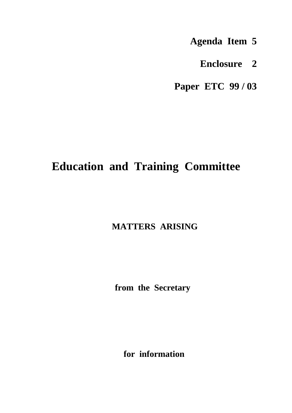- **Agenda Item 5**
	- **Enclosure 2**

**Paper ETC 99 / 03**

# **Education and Training Committee**

# **MATTERS ARISING**

 **from the Secretary**

**for information**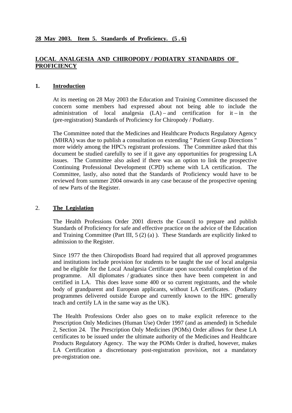# **LOCAL ANALGESIA AND CHIROPODY / PODIATRY STANDARDS OF PROFICIENCY**

#### **1. Introduction**

At its meeting on 28 May 2003 the Education and Training Committee discussed the concern some members had expressed about not being able to include the administration of local analgesia  $(LA)$  – and certification for it – in the (pre-registration) Standards of Proficiency for Chiropody / Podiatry.

The Committee noted that the Medicines and Healthcare Products Regulatory Agency (MHRA) was due to publish a consultation on extending " Patient Group Directions " more widely among the HPC's registrant professions. The Committee asked that this document be studied carefully to see if it gave any opportunities for progressing LA issues. The Committee also asked if there was an option to link the prospective Continuing Professional Development (CPD) scheme with LA certification. The Committee, lastly, also noted that the Standards of Proficiency would have to be reviewed from summer 2004 onwards in any case because of the prospective opening of new Parts of the Register.

#### 2. **The Legislation**

The Health Professions Order 2001 directs the Council to prepare and publish Standards of Proficiency for safe and effective practice on the advice of the Education and Training Committee (Part III, 5 (2) (a) ). These Standards are explicitly linked to admission to the Register.

Since 1977 the then Chiropodists Board had required that all approved programmes and institutions include provision for students to be taught the use of local analgesia and be eligible for the Local Analgesia Certificate upon successful completion of the programme. All diplomates / graduates since then have been competent in and certified in LA. This does leave some 400 or so current registrants, and the whole body of grandparent and European applicants, without LA Certificates. (Podiatry programmes delivered outside Europe and currently known to the HPC generally teach and certify LA in the same way as the UK).

The Health Professions Order also goes on to make explicit reference to the Prescription Only Medicines (Human Use) Order 1997 (and as amended) in Schedule 2, Section 24. The Prescription Only Medicines (POMs) Order allows for these LA certificates to be issued under the ultimate authority of the Medicines and Healthcare Products Regulatory Agency. The way the POMs Order is drafted, however, makes LA Certification a discretionary post-registration provision, not a mandatory pre-registration one.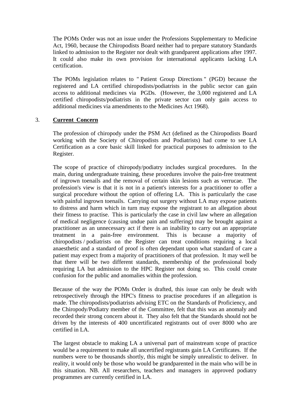The POMs Order was not an issue under the Professions Supplementary to Medicine Act, 1960, because the Chiropodists Board neither had to prepare statutory Standards linked to admission to the Register nor dealt with grandparent applications after 1997. It could also make its own provision for international applicants lacking LA certification.

The POMs legislation relates to " Patient Group Directions " (PGD) because the registered and LA certified chiropodists/podiatrists in the public sector can gain access to additional medicines via PGDs. (However, the 3,000 registered and LA certified chiropodists/podiatrists in the private sector can only gain access to additional medicines via amendments to the Medicines Act 1968).

#### 3. **Current Concern**

The profession of chiropody under the PSM Act (defined as the Chiropodists Board working with the Society of Chiropodists and Podiatrists) had come to see LA Certification as a core basic skill linked for practical purposes to admission to the Register.

The scope of practice of chiropody/podiatry includes surgical procedures. In the main, during undergraduate training, these procedures involve the pain-free treatment of ingrown toenails and the removal of certain skin lesions such as verrucae. The profession's view is that it is not in a patient's interests for a practitioner to offer a surgical procedure without the option of offering LA. This is particularly the case with painful ingrown toenails. Carrying out surgery without LA may expose patients to distress and harm which in turn may expose the registrant to an allegation about their fitness to practise. This is particularly the case in civil law where an allegation of medical negligence (causing undue pain and suffering) may be brought against a practitioner as an unnecessary act if there is an inability to carry out an appropriate treatment in a pain-free environment. This is because a majority of chiropodists / podiatrists on the Register can treat conditions requiring a local anaesthetic and a standard of proof is often dependant upon what standard of care a patient may expect from a majority of practitioners of that profession. It may well be that there will be two different standards, membership of the professional body requiring LA but admission to the HPC Register not doing so. This could create confusion for the public and anomalies within the profession.

Because of the way the POMs Order is drafted, this issue can only be dealt with retrospectively through the HPC's fitness to practise procedures if an allegation is made. The chiropodists/podiatrists advising ETC on the Standards of Proficiency, and the Chiropody/Podiatry member of the Committee, felt that this was an anomaly and recorded their strong concern about it. They also felt that the Standards should not be driven by the interests of 400 uncertificated registrants out of over 8000 who are certified in LA.

The largest obstacle to making LA a universal part of mainstream scope of practice would be a requirement to make all uncertified registrants gain LA Certificates. If the numbers were to be thousands shortly, this might be simply unrealistic to deliver. In reality, it would only be those who would be grandparented in the main who will be in this situation. NB. All researchers, teachers and managers in approved podiatry programmes are currently certified in LA.